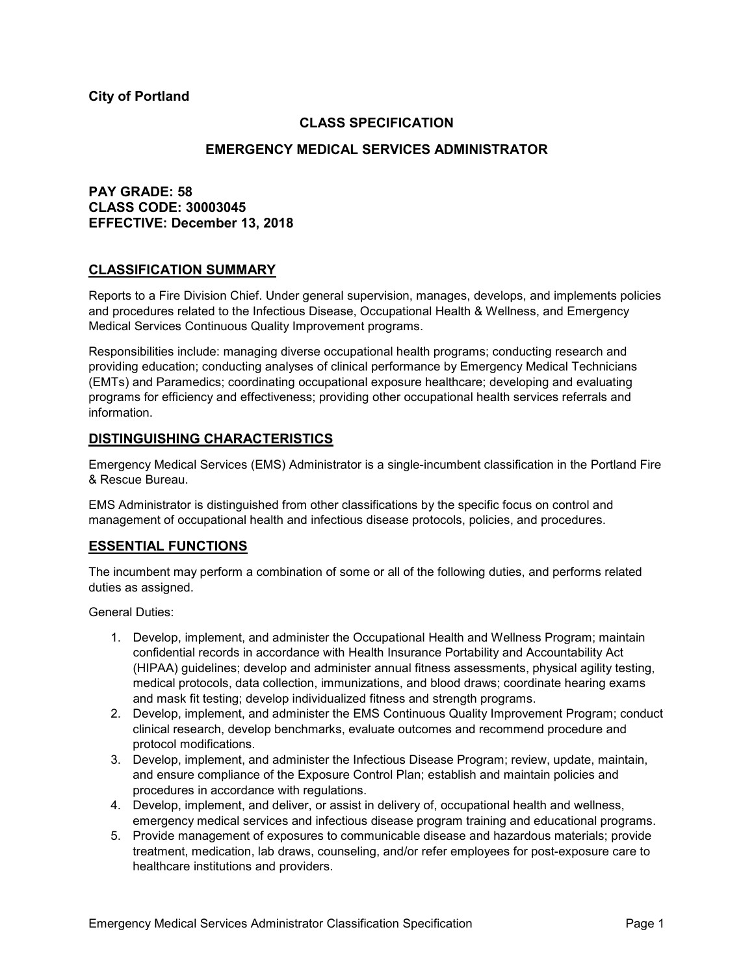**City of Portland**

## **CLASS SPECIFICATION**

## **EMERGENCY MEDICAL SERVICES ADMINISTRATOR**

# **PAY GRADE: 58 CLASS CODE: 30003045 EFFECTIVE: December 13, 2018**

## **CLASSIFICATION SUMMARY**

Reports to a Fire Division Chief. Under general supervision, manages, develops, and implements policies and procedures related to the Infectious Disease, Occupational Health & Wellness, and Emergency Medical Services Continuous Quality Improvement programs.

Responsibilities include: managing diverse occupational health programs; conducting research and providing education; conducting analyses of clinical performance by Emergency Medical Technicians (EMTs) and Paramedics; coordinating occupational exposure healthcare; developing and evaluating programs for efficiency and effectiveness; providing other occupational health services referrals and information.

## **DISTINGUISHING CHARACTERISTICS**

Emergency Medical Services (EMS) Administrator is a single-incumbent classification in the Portland Fire & Rescue Bureau.

EMS Administrator is distinguished from other classifications by the specific focus on control and management of occupational health and infectious disease protocols, policies, and procedures.

## **ESSENTIAL FUNCTIONS**

The incumbent may perform a combination of some or all of the following duties, and performs related duties as assigned.

General Duties:

- 1. Develop, implement, and administer the Occupational Health and Wellness Program; maintain confidential records in accordance with Health Insurance Portability and Accountability Act (HIPAA) guidelines; develop and administer annual fitness assessments, physical agility testing, medical protocols, data collection, immunizations, and blood draws; coordinate hearing exams and mask fit testing; develop individualized fitness and strength programs.
- 2. Develop, implement, and administer the EMS Continuous Quality Improvement Program; conduct clinical research, develop benchmarks, evaluate outcomes and recommend procedure and protocol modifications.
- 3. Develop, implement, and administer the Infectious Disease Program; review, update, maintain, and ensure compliance of the Exposure Control Plan; establish and maintain policies and procedures in accordance with regulations.
- 4. Develop, implement, and deliver, or assist in delivery of, occupational health and wellness, emergency medical services and infectious disease program training and educational programs.
- 5. Provide management of exposures to communicable disease and hazardous materials; provide treatment, medication, lab draws, counseling, and/or refer employees for post-exposure care to healthcare institutions and providers.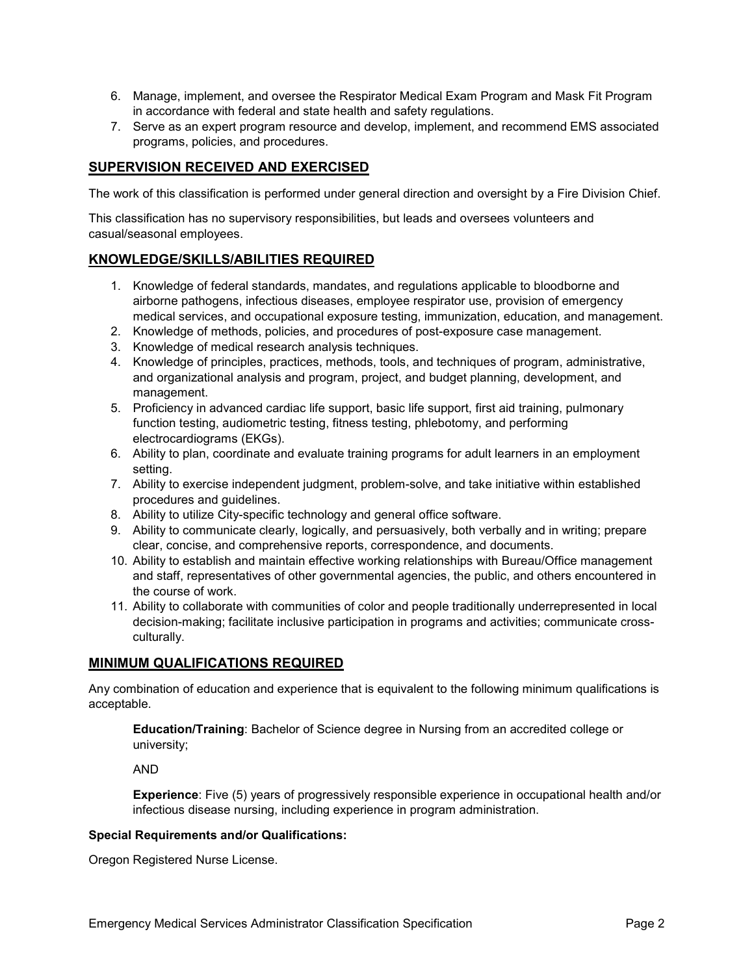- 6. Manage, implement, and oversee the Respirator Medical Exam Program and Mask Fit Program in accordance with federal and state health and safety regulations.
- 7. Serve as an expert program resource and develop, implement, and recommend EMS associated programs, policies, and procedures.

# **SUPERVISION RECEIVED AND EXERCISED**

The work of this classification is performed under general direction and oversight by a Fire Division Chief.

This classification has no supervisory responsibilities, but leads and oversees volunteers and casual/seasonal employees.

# **KNOWLEDGE/SKILLS/ABILITIES REQUIRED**

- 1. Knowledge of federal standards, mandates, and regulations applicable to bloodborne and airborne pathogens, infectious diseases, employee respirator use, provision of emergency medical services, and occupational exposure testing, immunization, education, and management.
- 2. Knowledge of methods, policies, and procedures of post-exposure case management.
- 3. Knowledge of medical research analysis techniques.
- 4. Knowledge of principles, practices, methods, tools, and techniques of program, administrative, and organizational analysis and program, project, and budget planning, development, and management.
- 5. Proficiency in advanced cardiac life support, basic life support, first aid training, pulmonary function testing, audiometric testing, fitness testing, phlebotomy, and performing electrocardiograms (EKGs).
- 6. Ability to plan, coordinate and evaluate training programs for adult learners in an employment setting.
- 7. Ability to exercise independent judgment, problem-solve, and take initiative within established procedures and guidelines.
- 8. Ability to utilize City-specific technology and general office software.
- 9. Ability to communicate clearly, logically, and persuasively, both verbally and in writing; prepare clear, concise, and comprehensive reports, correspondence, and documents.
- 10. Ability to establish and maintain effective working relationships with Bureau/Office management and staff, representatives of other governmental agencies, the public, and others encountered in the course of work.
- 11. Ability to collaborate with communities of color and people traditionally underrepresented in local decision-making; facilitate inclusive participation in programs and activities; communicate crossculturally.

## **MINIMUM QUALIFICATIONS REQUIRED**

Any combination of education and experience that is equivalent to the following minimum qualifications is acceptable.

**Education/Training**: Bachelor of Science degree in Nursing from an accredited college or university;

AND

**Experience**: Five (5) years of progressively responsible experience in occupational health and/or infectious disease nursing, including experience in program administration.

#### **Special Requirements and/or Qualifications:**

Oregon Registered Nurse License.